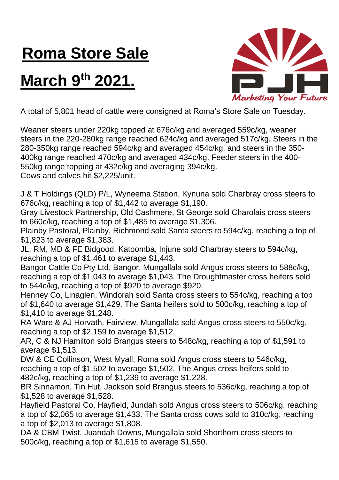## **Roma Store Sale**

## **March 9th 2021.**



A total of 5,801 head of cattle were consigned at Roma's Store Sale on Tuesday.

Weaner steers under 220kg topped at 676c/kg and averaged 559c/kg, weaner steers in the 220-280kg range reached 624c/kg and averaged 517c/kg. Steers in the 280-350kg range reached 594c/kg and averaged 454c/kg, and steers in the 350- 400kg range reached 470c/kg and averaged 434c/kg. Feeder steers in the 400- 550kg range topping at 432c/kg and averaging 394c/kg.

Cows and calves hit \$2,225/unit.

J & T Holdings (QLD) P/L, Wyneema Station, Kynuna sold Charbray cross steers to 676c/kg, reaching a top of \$1,442 to average \$1,190.

Gray Livestock Partnership, Old Cashmere, St George sold Charolais cross steers to 660c/kg, reaching a top of \$1,485 to average \$1,306.

Plainby Pastoral, Plainby, Richmond sold Santa steers to 594c/kg, reaching a top of \$1,823 to average \$1,383.

JL, RM, MD & FE Bidgood, Katoomba, Injune sold Charbray steers to 594c/kg, reaching a top of \$1,461 to average \$1,443.

Bangor Cattle Co Pty Ltd, Bangor, Mungallala sold Angus cross steers to 588c/kg, reaching a top of \$1,043 to average \$1,043. The Droughtmaster cross heifers sold to 544c/kg, reaching a top of \$920 to average \$920.

Henney Co, Linaglen, Windorah sold Santa cross steers to 554c/kg, reaching a top of \$1,640 to average \$1,429. The Santa heifers sold to 500c/kg, reaching a top of \$1,410 to average \$1,248.

RA Ware & AJ Horvath, Fairview, Mungallala sold Angus cross steers to 550c/kg, reaching a top of \$2,159 to average \$1,512.

AR, C & NJ Hamilton sold Brangus steers to 548c/kg, reaching a top of \$1,591 to average \$1,513.

DW & CE Collinson, West Myall, Roma sold Angus cross steers to 546c/kg, reaching a top of \$1,502 to average \$1,502. The Angus cross heifers sold to 482c/kg, reaching a top of \$1,239 to average \$1,228.

BR Sinnamon, Tin Hut, Jackson sold Brangus steers to 536c/kg, reaching a top of \$1,528 to average \$1,528.

Hayfield Pastoral Co, Hayfield, Jundah sold Angus cross steers to 506c/kg, reaching a top of \$2,065 to average \$1,433. The Santa cross cows sold to 310c/kg, reaching a top of \$2,013 to average \$1,808.

DA & CBM Twist, Juandah Downs, Mungallala sold Shorthorn cross steers to 500c/kg, reaching a top of \$1,615 to average \$1,550.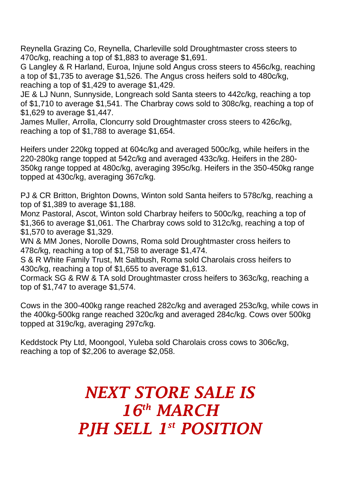Reynella Grazing Co, Reynella, Charleville sold Droughtmaster cross steers to 470c/kg, reaching a top of \$1,883 to average \$1,691.

G Langley & R Harland, Euroa, Injune sold Angus cross steers to 456c/kg, reaching a top of \$1,735 to average \$1,526. The Angus cross heifers sold to 480c/kg, reaching a top of \$1,429 to average \$1,429.

JE & LJ Nunn, Sunnyside, Longreach sold Santa steers to 442c/kg, reaching a top of \$1,710 to average \$1,541. The Charbray cows sold to 308c/kg, reaching a top of \$1,629 to average \$1,447.

James Muller, Arrolla, Cloncurry sold Droughtmaster cross steers to 426c/kg, reaching a top of \$1,788 to average \$1,654.

Heifers under 220kg topped at 604c/kg and averaged 500c/kg, while heifers in the 220-280kg range topped at 542c/kg and averaged 433c/kg. Heifers in the 280- 350kg range topped at 480c/kg, averaging 395c/kg. Heifers in the 350-450kg range topped at 430c/kg, averaging 367c/kg.

PJ & CR Britton, Brighton Downs, Winton sold Santa heifers to 578c/kg, reaching a top of \$1,389 to average \$1,188.

Monz Pastoral, Ascot, Winton sold Charbray heifers to 500c/kg, reaching a top of \$1,366 to average \$1,061. The Charbray cows sold to 312c/kg, reaching a top of \$1,570 to average \$1,329.

WN & MM Jones, Norolle Downs, Roma sold Droughtmaster cross heifers to 478c/kg, reaching a top of \$1,758 to average \$1,474.

S & R White Family Trust, Mt Saltbush, Roma sold Charolais cross heifers to 430c/kg, reaching a top of \$1,655 to average \$1,613.

Cormack SG & RW & TA sold Droughtmaster cross heifers to 363c/kg, reaching a top of \$1,747 to average \$1,574.

Cows in the 300-400kg range reached 282c/kg and averaged 253c/kg, while cows in the 400kg-500kg range reached 320c/kg and averaged 284c/kg. Cows over 500kg topped at 319c/kg, averaging 297c/kg.

Keddstock Pty Ltd, Moongool, Yuleba sold Charolais cross cows to 306c/kg, reaching a top of \$2,206 to average \$2,058.

> *NEXT STORE SALE IS 16th MARCH* **PJH SELL 1st POSITION**